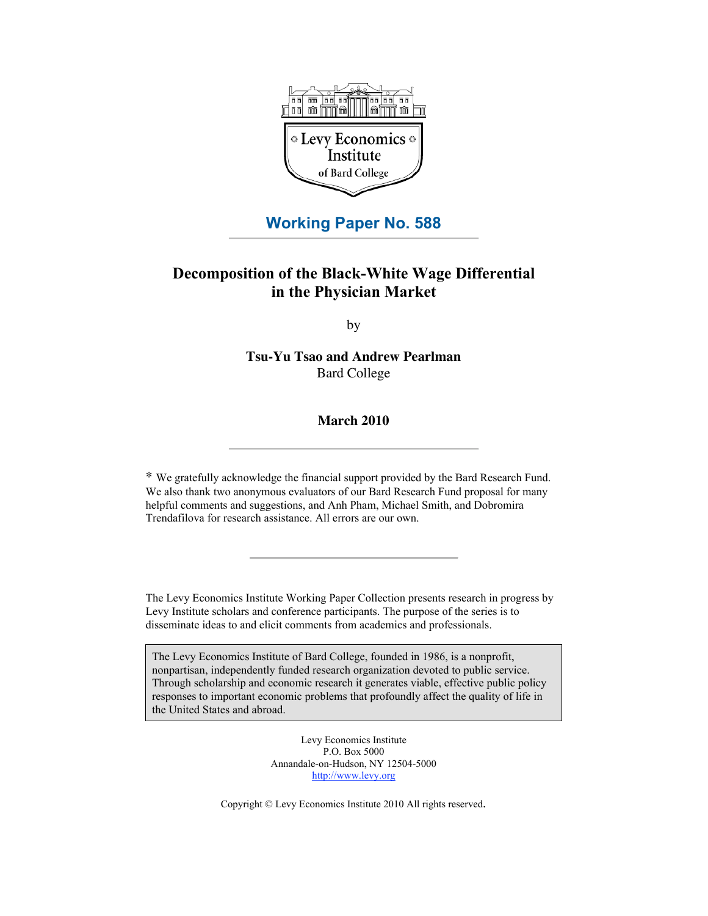

# **Working Paper No. 588**

# **Decomposition of the Black-White Wage Differential in the Physician Market**

by

**Tsu-Yu Tsao and Andrew Pearlman** Bard College

### **March 2010**

\* We gratefully acknowledge the financial support provided by the Bard Research Fund. We also thank two anonymous evaluators of our Bard Research Fund proposal for many helpful comments and suggestions, and Anh Pham, Michael Smith, and Dobromira Trendafilova for research assistance. All errors are our own.

The Levy Economics Institute Working Paper Collection presents research in progress by Levy Institute scholars and conference participants. The purpose of the series is to disseminate ideas to and elicit comments from academics and professionals.

The Levy Economics Institute of Bard College, founded in 1986, is a nonprofit, nonpartisan, independently funded research organization devoted to public service. Through scholarship and economic research it generates viable, effective public policy responses to important economic problems that profoundly affect the quality of life in the United States and abroad.

> Levy Economics Institute P.O. Box 5000 Annandale-on-Hudson, NY 12504-5000 http://www.levy.org

Copyright © Levy Economics Institute 2010 All rights reserved.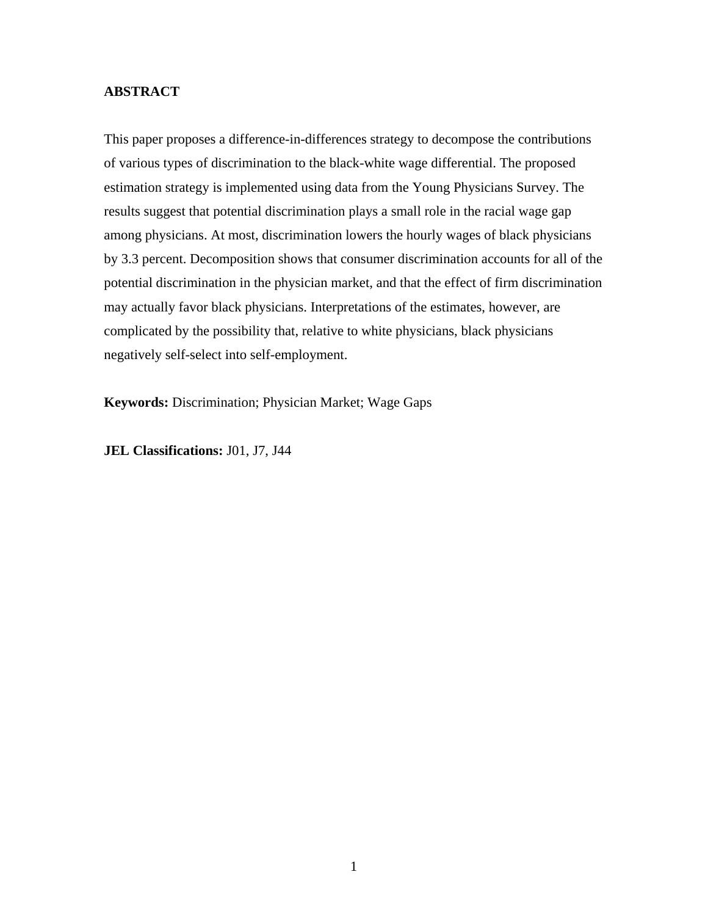### **ABSTRACT**

This paper proposes a difference-in-differences strategy to decompose the contributions of various types of discrimination to the black-white wage differential. The proposed estimation strategy is implemented using data from the Young Physicians Survey. The results suggest that potential discrimination plays a small role in the racial wage gap among physicians. At most, discrimination lowers the hourly wages of black physicians by 3.3 percent. Decomposition shows that consumer discrimination accounts for all of the potential discrimination in the physician market, and that the effect of firm discrimination may actually favor black physicians. Interpretations of the estimates, however, are complicated by the possibility that, relative to white physicians, black physicians negatively self-select into self-employment.

**Keywords:** Discrimination; Physician Market; Wage Gaps

**JEL Classifications:** J01, J7, J44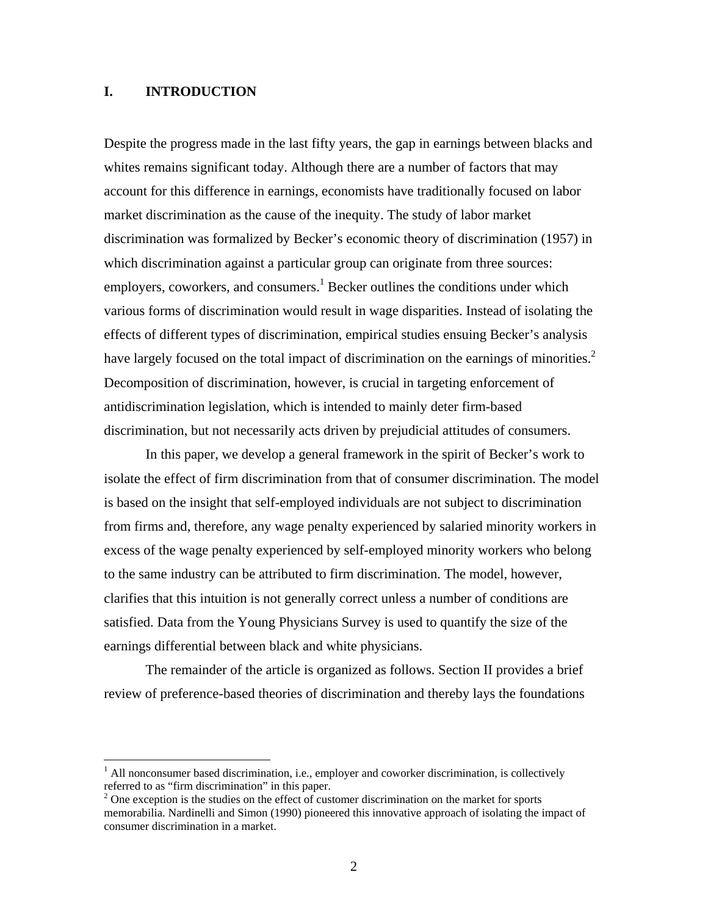### **I. INTRODUCTION**

 $\overline{a}$ 

Despite the progress made in the last fifty years, the gap in earnings between blacks and whites remains significant today. Although there are a number of factors that may account for this difference in earnings, economists have traditionally focused on labor market discrimination as the cause of the inequity. The study of labor market discrimination was formalized by Becker's economic theory of discrimination (1957) in which discrimination against a particular group can originate from three sources: employers, coworkers, and consumers.<sup>1</sup> Becker outlines the conditions under which various forms of discrimination would result in wage disparities. Instead of isolating the effects of different types of discrimination, empirical studies ensuing Becker's analysis have largely focused on the total impact of discrimination on the earnings of minorities.<sup>2</sup> Decomposition of discrimination, however, is crucial in targeting enforcement of antidiscrimination legislation, which is intended to mainly deter firm-based discrimination, but not necessarily acts driven by prejudicial attitudes of consumers.

In this paper, we develop a general framework in the spirit of Becker's work to isolate the effect of firm discrimination from that of consumer discrimination. The model is based on the insight that self-employed individuals are not subject to discrimination from firms and, therefore, any wage penalty experienced by salaried minority workers in excess of the wage penalty experienced by self-employed minority workers who belong to the same industry can be attributed to firm discrimination. The model, however, clarifies that this intuition is not generally correct unless a number of conditions are satisfied. Data from the Young Physicians Survey is used to quantify the size of the earnings differential between black and white physicians.

The remainder of the article is organized as follows. Section II provides a brief review of preference-based theories of discrimination and thereby lays the foundations

 $<sup>1</sup>$  All nonconsumer based discrimination, i.e., employer and coworker discrimination, is collectively</sup> referred to as "firm discrimination" in this paper.

 $2^2$  One exception is the studies on the effect of customer discrimination on the market for sports memorabilia. Nardinelli and Simon (1990) pioneered this innovative approach of isolating the impact of consumer discrimination in a market.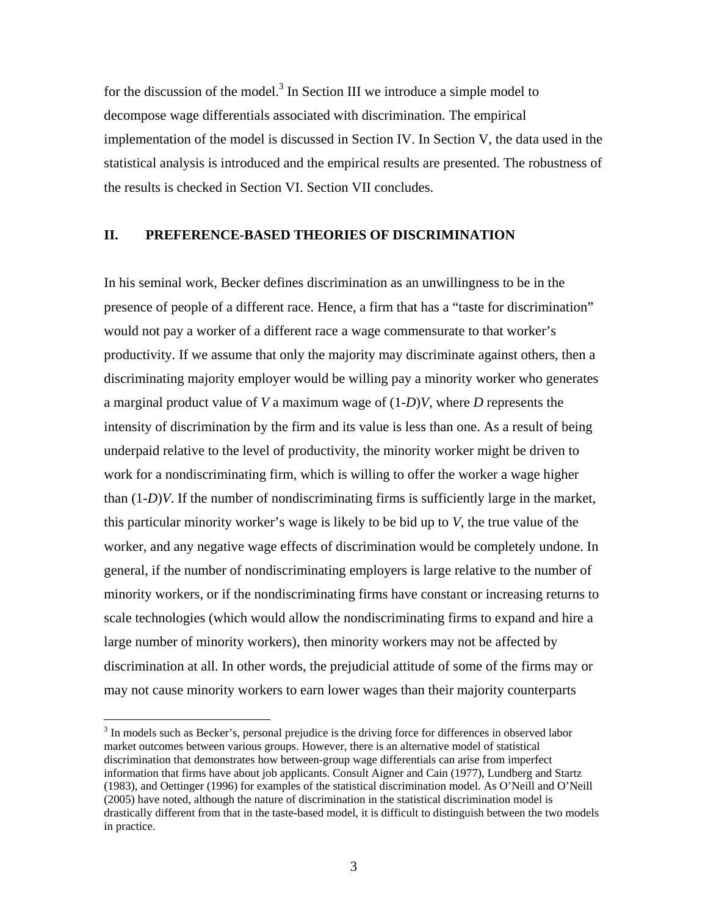for the discussion of the model.<sup>3</sup> In Section III we introduce a simple model to decompose wage differentials associated with discrimination. The empirical implementation of the model is discussed in Section IV. In Section V, the data used in the statistical analysis is introduced and the empirical results are presented. The robustness of the results is checked in Section VI. Section VII concludes.

## **II. PREFERENCE-BASED THEORIES OF DISCRIMINATION**

In his seminal work, Becker defines discrimination as an unwillingness to be in the presence of people of a different race. Hence, a firm that has a "taste for discrimination" would not pay a worker of a different race a wage commensurate to that worker's productivity. If we assume that only the majority may discriminate against others, then a discriminating majority employer would be willing pay a minority worker who generates a marginal product value of *V* a maximum wage of (1-*D*)*V*, where *D* represents the intensity of discrimination by the firm and its value is less than one. As a result of being underpaid relative to the level of productivity, the minority worker might be driven to work for a nondiscriminating firm, which is willing to offer the worker a wage higher than (1-*D*)*V*. If the number of nondiscriminating firms is sufficiently large in the market, this particular minority worker's wage is likely to be bid up to *V*, the true value of the worker, and any negative wage effects of discrimination would be completely undone. In general, if the number of nondiscriminating employers is large relative to the number of minority workers, or if the nondiscriminating firms have constant or increasing returns to scale technologies (which would allow the nondiscriminating firms to expand and hire a large number of minority workers), then minority workers may not be affected by discrimination at all. In other words, the prejudicial attitude of some of the firms may or may not cause minority workers to earn lower wages than their majority counterparts

 $\overline{a}$ 

 $3$  In models such as Becker's, personal prejudice is the driving force for differences in observed labor market outcomes between various groups. However, there is an alternative model of statistical discrimination that demonstrates how between-group wage differentials can arise from imperfect information that firms have about job applicants. Consult Aigner and Cain (1977), Lundberg and Startz (1983), and Oettinger (1996) for examples of the statistical discrimination model. As O'Neill and O'Neill (2005) have noted, although the nature of discrimination in the statistical discrimination model is drastically different from that in the taste-based model, it is difficult to distinguish between the two models in practice.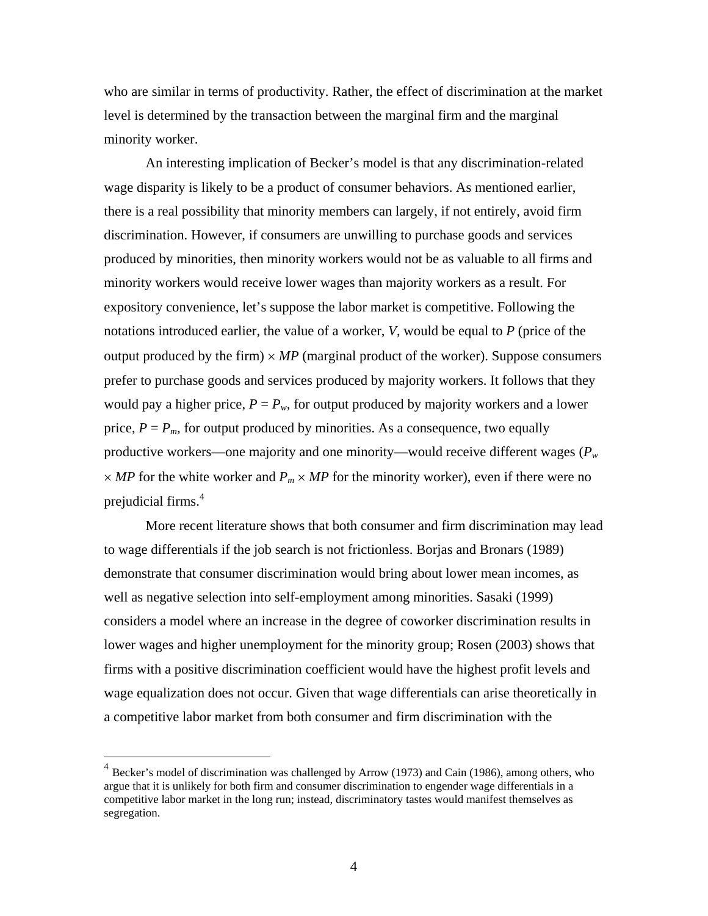who are similar in terms of productivity. Rather, the effect of discrimination at the market level is determined by the transaction between the marginal firm and the marginal minority worker.

An interesting implication of Becker's model is that any discrimination-related wage disparity is likely to be a product of consumer behaviors. As mentioned earlier, there is a real possibility that minority members can largely, if not entirely, avoid firm discrimination. However, if consumers are unwilling to purchase goods and services produced by minorities, then minority workers would not be as valuable to all firms and minority workers would receive lower wages than majority workers as a result. For expository convenience, let's suppose the labor market is competitive. Following the notations introduced earlier, the value of a worker, *V*, would be equal to *P* (price of the output produced by the firm)  $\times MP$  (marginal product of the worker). Suppose consumers prefer to purchase goods and services produced by majority workers. It follows that they would pay a higher price,  $P = P_w$ , for output produced by majority workers and a lower price,  $P = P_m$ , for output produced by minorities. As a consequence, two equally productive workers—one majority and one minority—would receive different wages (*Pw*  $\times$  *MP* for the white worker and  $P_m \times MP$  for the minority worker), even if there were no prejudicial firms.<sup>4</sup>

More recent literature shows that both consumer and firm discrimination may lead to wage differentials if the job search is not frictionless. Borjas and Bronars (1989) demonstrate that consumer discrimination would bring about lower mean incomes, as well as negative selection into self-employment among minorities. Sasaki (1999) considers a model where an increase in the degree of coworker discrimination results in lower wages and higher unemployment for the minority group; Rosen (2003) shows that firms with a positive discrimination coefficient would have the highest profit levels and wage equalization does not occur. Given that wage differentials can arise theoretically in a competitive labor market from both consumer and firm discrimination with the

 $\overline{a}$ 

 $4$  Becker's model of discrimination was challenged by Arrow (1973) and Cain (1986), among others, who argue that it is unlikely for both firm and consumer discrimination to engender wage differentials in a competitive labor market in the long run; instead, discriminatory tastes would manifest themselves as segregation.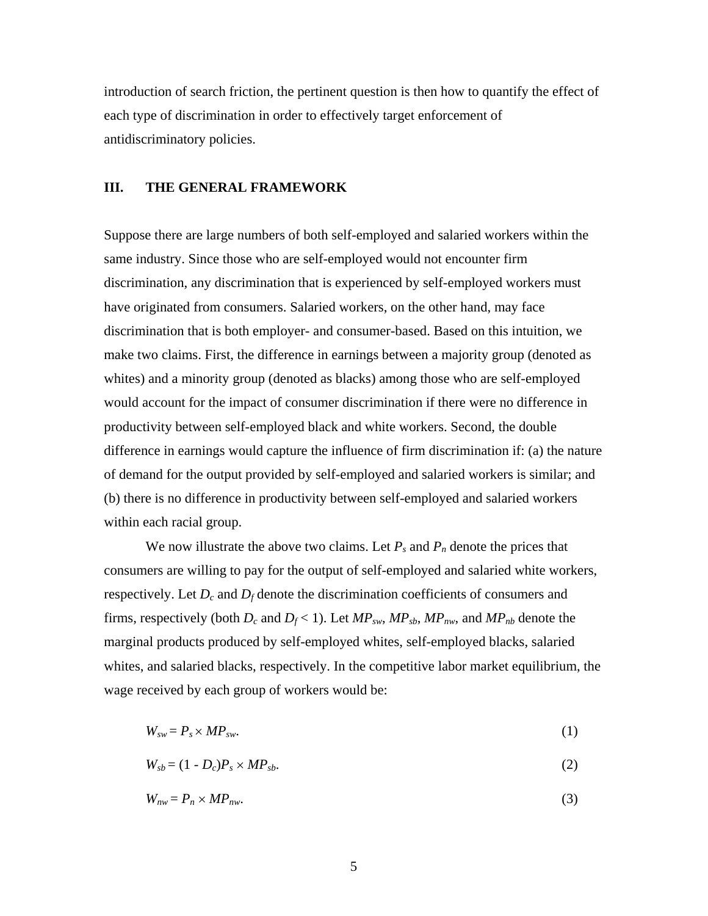introduction of search friction, the pertinent question is then how to quantify the effect of each type of discrimination in order to effectively target enforcement of antidiscriminatory policies.

### **III. THE GENERAL FRAMEWORK**

Suppose there are large numbers of both self-employed and salaried workers within the same industry. Since those who are self-employed would not encounter firm discrimination, any discrimination that is experienced by self-employed workers must have originated from consumers. Salaried workers, on the other hand, may face discrimination that is both employer- and consumer-based. Based on this intuition, we make two claims. First, the difference in earnings between a majority group (denoted as whites) and a minority group (denoted as blacks) among those who are self-employed would account for the impact of consumer discrimination if there were no difference in productivity between self-employed black and white workers. Second, the double difference in earnings would capture the influence of firm discrimination if: (a) the nature of demand for the output provided by self-employed and salaried workers is similar; and (b) there is no difference in productivity between self-employed and salaried workers within each racial group.

We now illustrate the above two claims. Let  $P_s$  and  $P_n$  denote the prices that consumers are willing to pay for the output of self-employed and salaried white workers, respectively. Let  $D_c$  and  $D_f$  denote the discrimination coefficients of consumers and firms, respectively (both  $D_c$  and  $D_f < 1$ ). Let  $MP_{sw}$ ,  $MP_{sb}$ ,  $MP_{nw}$ , and  $MP_{nb}$  denote the marginal products produced by self-employed whites, self-employed blacks, salaried whites, and salaried blacks, respectively. In the competitive labor market equilibrium, the wage received by each group of workers would be:

$$
W_{sw} = P_s \times MP_{sw}.\tag{1}
$$

 $W_{sb} = (1 - D_c)P_s \times MP_{sb}$ . (2)

$$
W_{nw} = P_n \times MP_{nw}.\tag{3}
$$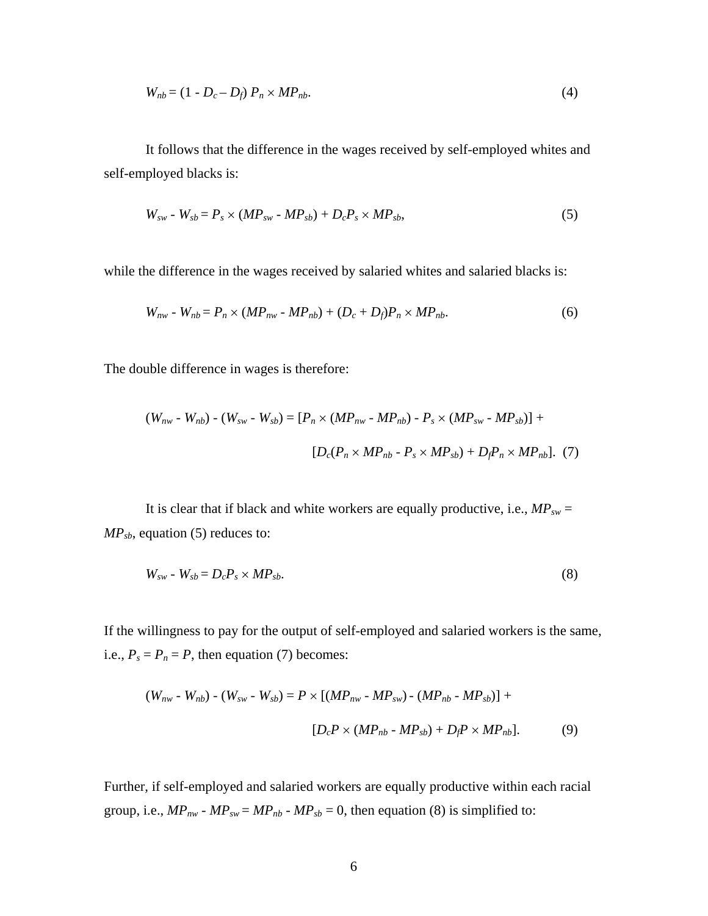$$
W_{nb} = (1 - D_c - D_f) P_n \times MP_{nb}.
$$
\n
$$
\tag{4}
$$

 It follows that the difference in the wages received by self-employed whites and self-employed blacks is:

$$
W_{sw} - W_{sb} = P_s \times (MP_{sw} - MP_{sb}) + D_c P_s \times MP_{sb}, \qquad (5)
$$

while the difference in the wages received by salaried whites and salaried blacks is:

$$
W_{nw} - W_{nb} = P_n \times (MP_{nw} - MP_{nb}) + (D_c + D_f)P_n \times MP_{nb}.
$$
 (6)

The double difference in wages is therefore:

$$
(W_{nw} - W_{nb}) - (W_{sw} - W_{sb}) = [P_n \times (MP_{nw} - MP_{nb}) - P_s \times (MP_{sw} - MP_{sb})] +
$$
  

$$
[D_c(P_n \times MP_{nb} - P_s \times MP_{sb}) + D_f P_n \times MP_{nb}]. \tag{7}
$$

It is clear that if black and white workers are equally productive, i.e.,  $MP_{sw} =$ *MPsb*, equation (5) reduces to:

$$
W_{sw} - W_{sb} = D_c P_s \times MP_{sb}.\tag{8}
$$

If the willingness to pay for the output of self-employed and salaried workers is the same, i.e.,  $P_s = P_n = P$ , then equation (7) becomes:

$$
(W_{nw} - W_{nb}) - (W_{sw} - W_{sb}) = P \times [(MP_{nw} - MP_{sw}) - (MP_{nb} - MP_{sb})] +
$$
  

$$
[D_c P \times (MP_{nb} - MP_{sb}) + D_f P \times MP_{nb}].
$$
 (9)

Further, if self-employed and salaried workers are equally productive within each racial group, i.e.,  $MP_{nw}$  -  $MP_{sw} = MP_{nb}$  -  $MP_{sb} = 0$ , then equation (8) is simplified to: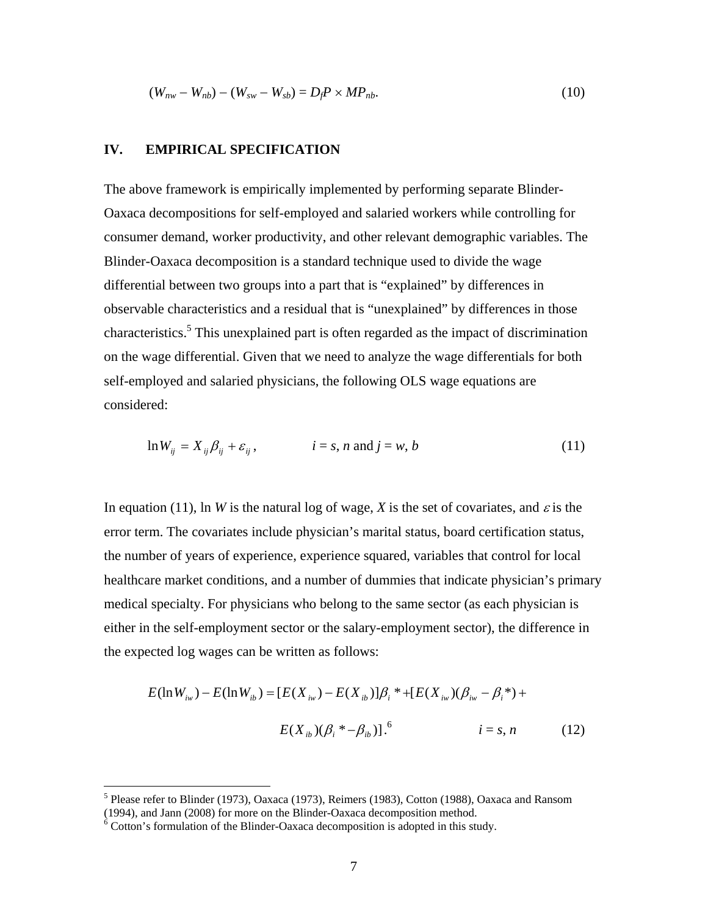$$
(W_{nw} - W_{nb}) - (W_{sw} - W_{sb}) = D_f P \times M P_{nb}.
$$
\n(10)

### **IV. EMPIRICAL SPECIFICATION**

The above framework is empirically implemented by performing separate Blinder-Oaxaca decompositions for self-employed and salaried workers while controlling for consumer demand, worker productivity, and other relevant demographic variables. The Blinder-Oaxaca decomposition is a standard technique used to divide the wage differential between two groups into a part that is "explained" by differences in observable characteristics and a residual that is "unexplained" by differences in those characteristics.<sup>5</sup> This unexplained part is often regarded as the impact of discrimination on the wage differential. Given that we need to analyze the wage differentials for both self-employed and salaried physicians, the following OLS wage equations are considered:

$$
\ln W_{ij} = X_{ij} \beta_{ij} + \varepsilon_{ij}, \qquad i = s, n \text{ and } j = w, b \qquad (11)
$$

In equation (11), ln *W* is the natural log of wage, *X* is the set of covariates, and  $\varepsilon$  is the error term. The covariates include physician's marital status, board certification status, the number of years of experience, experience squared, variables that control for local healthcare market conditions, and a number of dummies that indicate physician's primary medical specialty. For physicians who belong to the same sector (as each physician is either in the self-employment sector or the salary-employment sector), the difference in the expected log wages can be written as follows:

$$
E(\ln W_{iw}) - E(\ln W_{ib}) = [E(X_{iw}) - E(X_{ib})] \beta_i * + [E(X_{iw})(\beta_{iw} - \beta_i*) +
$$
  

$$
E(X_{ib})(\beta_i * - \beta_{ib})].^6 \qquad i = s, n \qquad (12)
$$

<sup>&</sup>lt;sup>5</sup> Please refer to Blinder (1973), Oaxaca (1973), Reimers (1983), Cotton (1988), Oaxaca and Ransom (1994), and Jann (2008) for more on the Blinder-Oaxaca decomposition method.

 $6$  Cotton's formulation of the Blinder-Oaxaca decomposition is adopted in this study.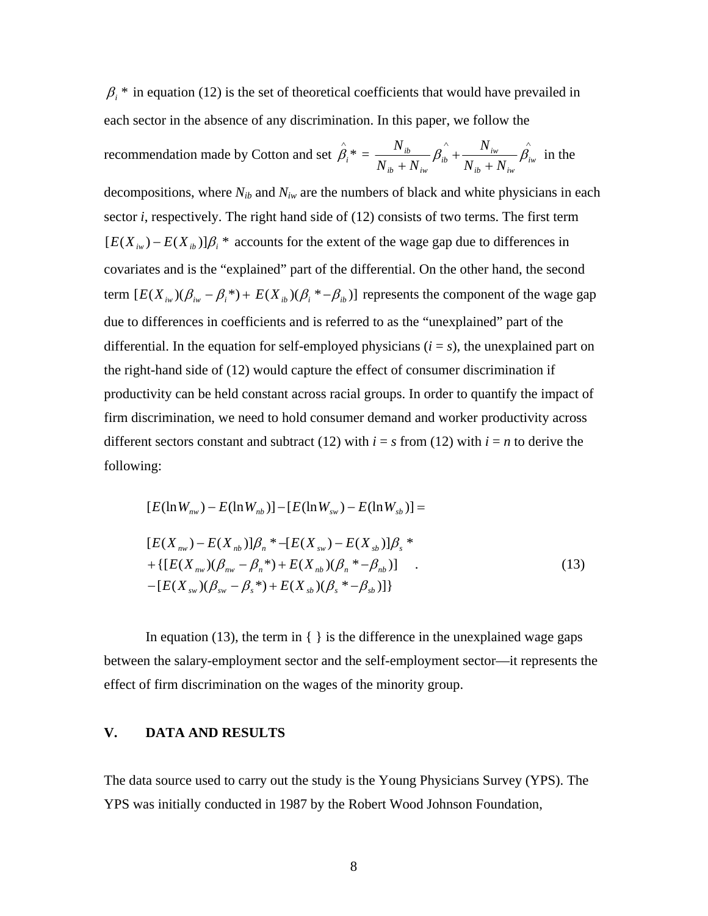$\beta_i^*$  in equation (12) is the set of theoretical coefficients that would have prevailed in each sector in the absence of any discrimination. In this paper, we follow the

recommendation made by Cottom and set 
$$
\hat{\beta}_i^* = \frac{N_{ib}}{N_{ib} + N_{iw}} \hat{\beta}_i + \frac{N_{iw}}{N_{ib} + N_{iw}} \hat{\beta}_i
$$
 in the

decompositions, where  $N_{ih}$  and  $N_{iw}$  are the numbers of black and white physicians in each sector *i*, respectively. The right hand side of (12) consists of two terms. The first term  $[E(X_{iw}) - E(X_{ib})]$  $\beta_i$ <sup>\*</sup> accounts for the extent of the wage gap due to differences in covariates and is the "explained" part of the differential. On the other hand, the second term  $[E(X_{iw})(\beta_{iw} - \beta_i^*) + E(X_{ib})(\beta_i^* - \beta_{ib})]$  represents the component of the wage gap due to differences in coefficients and is referred to as the "unexplained" part of the differential. In the equation for self-employed physicians  $(i = s)$ , the unexplained part on the right-hand side of (12) would capture the effect of consumer discrimination if productivity can be held constant across racial groups. In order to quantify the impact of firm discrimination, we need to hold consumer demand and worker productivity across different sectors constant and subtract (12) with  $i = s$  from (12) with  $i = n$  to derive the following:

$$
[E(\ln W_{n\nu}) - E(\ln W_{nb})] - [E(\ln W_{s\nu}) - E(\ln W_{sb})] =
$$
  
\n
$$
[E(X_{n\nu}) - E(X_{nb})] \beta_n * - [E(X_{s\nu}) - E(X_{sb})] \beta_s * + \{ [E(X_{n\nu})(\beta_{n\nu} - \beta_n^*) + E(X_{nb})(\beta_n^* - \beta_{nb})] - [E(X_{s\nu})(\beta_{s\nu} - \beta_s^*) + E(X_{sb})(\beta_s^* - \beta_{sb})] \}
$$
\n(13)

In equation (13), the term in  $\{\}$  is the difference in the unexplained wage gaps between the salary-employment sector and the self-employment sector—it represents the effect of firm discrimination on the wages of the minority group.

## **V. DATA AND RESULTS**

The data source used to carry out the study is the Young Physicians Survey (YPS). The YPS was initially conducted in 1987 by the Robert Wood Johnson Foundation,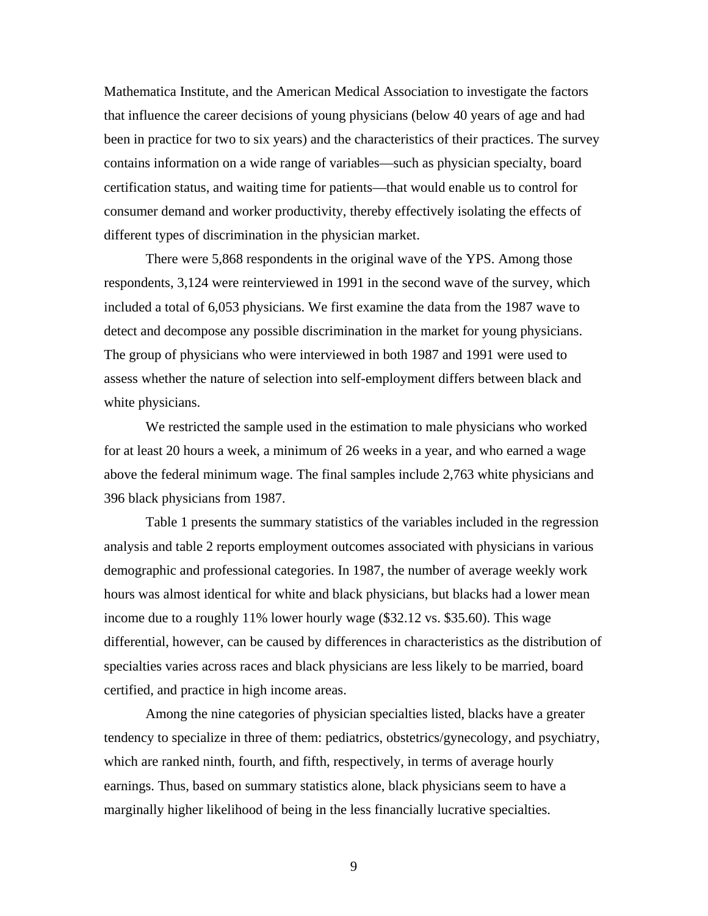Mathematica Institute, and the American Medical Association to investigate the factors that influence the career decisions of young physicians (below 40 years of age and had been in practice for two to six years) and the characteristics of their practices. The survey contains information on a wide range of variables—such as physician specialty, board certification status, and waiting time for patients—that would enable us to control for consumer demand and worker productivity, thereby effectively isolating the effects of different types of discrimination in the physician market.

There were 5,868 respondents in the original wave of the YPS. Among those respondents, 3,124 were reinterviewed in 1991 in the second wave of the survey, which included a total of 6,053 physicians. We first examine the data from the 1987 wave to detect and decompose any possible discrimination in the market for young physicians. The group of physicians who were interviewed in both 1987 and 1991 were used to assess whether the nature of selection into self-employment differs between black and white physicians.

We restricted the sample used in the estimation to male physicians who worked for at least 20 hours a week, a minimum of 26 weeks in a year, and who earned a wage above the federal minimum wage. The final samples include 2,763 white physicians and 396 black physicians from 1987.

Table 1 presents the summary statistics of the variables included in the regression analysis and table 2 reports employment outcomes associated with physicians in various demographic and professional categories. In 1987, the number of average weekly work hours was almost identical for white and black physicians, but blacks had a lower mean income due to a roughly 11% lower hourly wage (\$32.12 vs. \$35.60). This wage differential, however, can be caused by differences in characteristics as the distribution of specialties varies across races and black physicians are less likely to be married, board certified, and practice in high income areas.

Among the nine categories of physician specialties listed, blacks have a greater tendency to specialize in three of them: pediatrics, obstetrics/gynecology, and psychiatry, which are ranked ninth, fourth, and fifth, respectively, in terms of average hourly earnings. Thus, based on summary statistics alone, black physicians seem to have a marginally higher likelihood of being in the less financially lucrative specialties.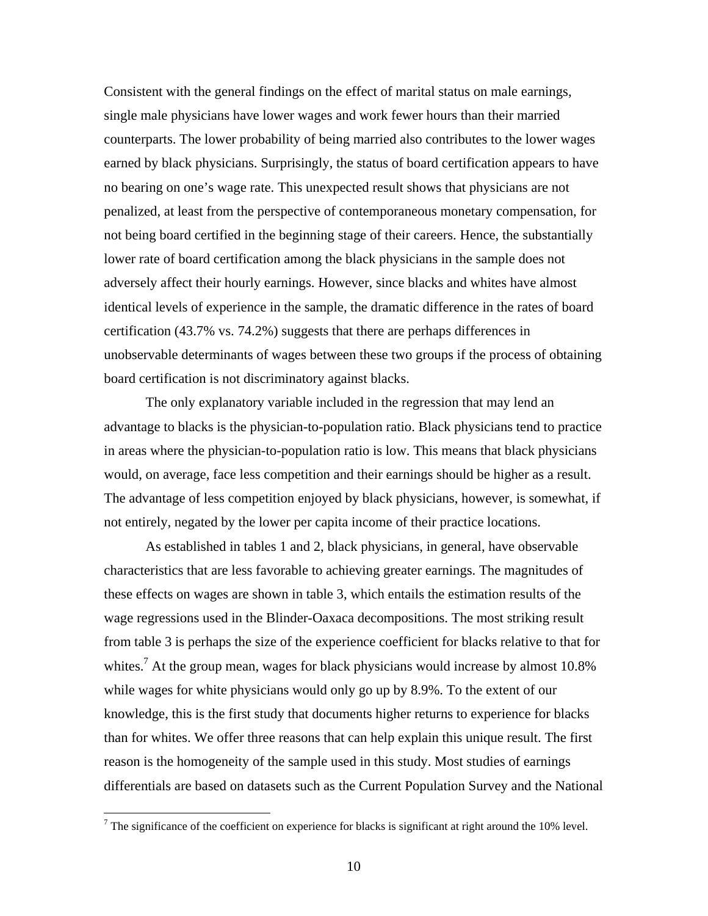Consistent with the general findings on the effect of marital status on male earnings, single male physicians have lower wages and work fewer hours than their married counterparts. The lower probability of being married also contributes to the lower wages earned by black physicians. Surprisingly, the status of board certification appears to have no bearing on one's wage rate. This unexpected result shows that physicians are not penalized, at least from the perspective of contemporaneous monetary compensation, for not being board certified in the beginning stage of their careers. Hence, the substantially lower rate of board certification among the black physicians in the sample does not adversely affect their hourly earnings. However, since blacks and whites have almost identical levels of experience in the sample, the dramatic difference in the rates of board certification (43.7% vs. 74.2%) suggests that there are perhaps differences in unobservable determinants of wages between these two groups if the process of obtaining board certification is not discriminatory against blacks.

The only explanatory variable included in the regression that may lend an advantage to blacks is the physician-to-population ratio. Black physicians tend to practice in areas where the physician-to-population ratio is low. This means that black physicians would, on average, face less competition and their earnings should be higher as a result. The advantage of less competition enjoyed by black physicians, however, is somewhat, if not entirely, negated by the lower per capita income of their practice locations.

As established in tables 1 and 2, black physicians, in general, have observable characteristics that are less favorable to achieving greater earnings. The magnitudes of these effects on wages are shown in table 3, which entails the estimation results of the wage regressions used in the Blinder-Oaxaca decompositions. The most striking result from table 3 is perhaps the size of the experience coefficient for blacks relative to that for whites.<sup>7</sup> At the group mean, wages for black physicians would increase by almost 10.8% while wages for white physicians would only go up by 8.9%. To the extent of our knowledge, this is the first study that documents higher returns to experience for blacks than for whites. We offer three reasons that can help explain this unique result. The first reason is the homogeneity of the sample used in this study. Most studies of earnings differentials are based on datasets such as the Current Population Survey and the National

<sup>&</sup>lt;sup>7</sup> The significance of the coefficient on experience for blacks is significant at right around the 10% level.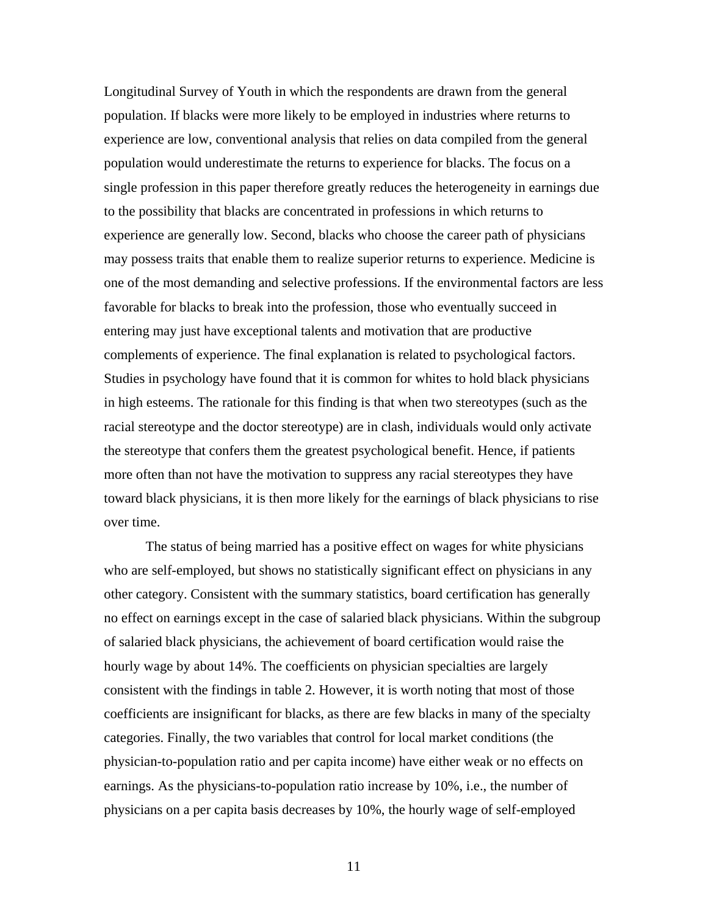Longitudinal Survey of Youth in which the respondents are drawn from the general population. If blacks were more likely to be employed in industries where returns to experience are low, conventional analysis that relies on data compiled from the general population would underestimate the returns to experience for blacks. The focus on a single profession in this paper therefore greatly reduces the heterogeneity in earnings due to the possibility that blacks are concentrated in professions in which returns to experience are generally low. Second, blacks who choose the career path of physicians may possess traits that enable them to realize superior returns to experience. Medicine is one of the most demanding and selective professions. If the environmental factors are less favorable for blacks to break into the profession, those who eventually succeed in entering may just have exceptional talents and motivation that are productive complements of experience. The final explanation is related to psychological factors. Studies in psychology have found that it is common for whites to hold black physicians in high esteems. The rationale for this finding is that when two stereotypes (such as the racial stereotype and the doctor stereotype) are in clash, individuals would only activate the stereotype that confers them the greatest psychological benefit. Hence, if patients more often than not have the motivation to suppress any racial stereotypes they have toward black physicians, it is then more likely for the earnings of black physicians to rise over time.

The status of being married has a positive effect on wages for white physicians who are self-employed, but shows no statistically significant effect on physicians in any other category. Consistent with the summary statistics, board certification has generally no effect on earnings except in the case of salaried black physicians. Within the subgroup of salaried black physicians, the achievement of board certification would raise the hourly wage by about 14%. The coefficients on physician specialties are largely consistent with the findings in table 2. However, it is worth noting that most of those coefficients are insignificant for blacks, as there are few blacks in many of the specialty categories. Finally, the two variables that control for local market conditions (the physician-to-population ratio and per capita income) have either weak or no effects on earnings. As the physicians-to-population ratio increase by 10%, i.e., the number of physicians on a per capita basis decreases by 10%, the hourly wage of self-employed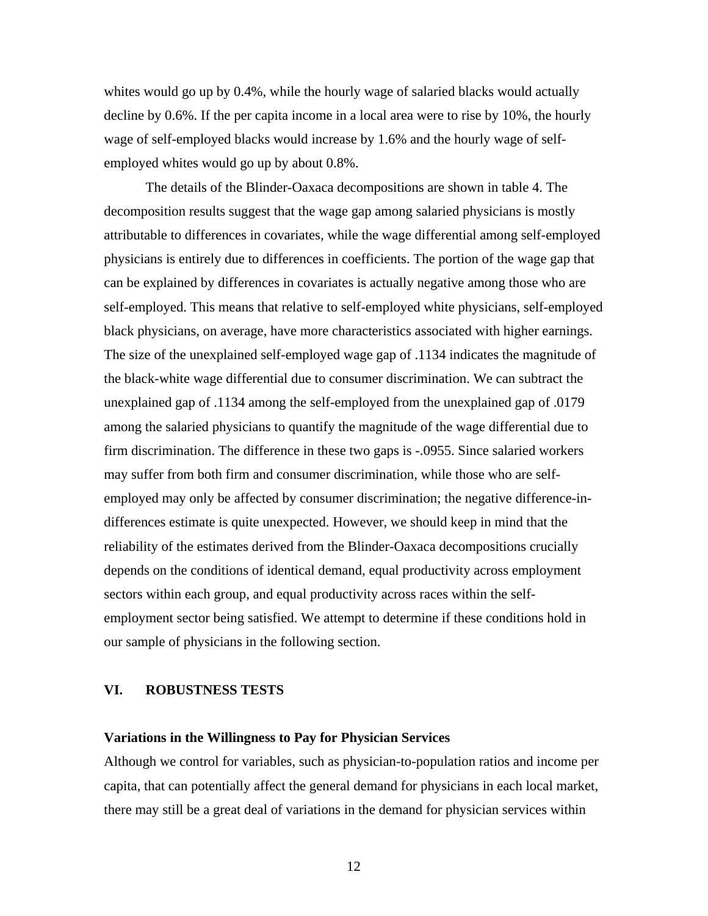whites would go up by 0.4%, while the hourly wage of salaried blacks would actually decline by 0.6%. If the per capita income in a local area were to rise by 10%, the hourly wage of self-employed blacks would increase by 1.6% and the hourly wage of selfemployed whites would go up by about 0.8%.

The details of the Blinder-Oaxaca decompositions are shown in table 4. The decomposition results suggest that the wage gap among salaried physicians is mostly attributable to differences in covariates, while the wage differential among self-employed physicians is entirely due to differences in coefficients. The portion of the wage gap that can be explained by differences in covariates is actually negative among those who are self-employed. This means that relative to self-employed white physicians, self-employed black physicians, on average, have more characteristics associated with higher earnings. The size of the unexplained self-employed wage gap of .1134 indicates the magnitude of the black-white wage differential due to consumer discrimination. We can subtract the unexplained gap of .1134 among the self-employed from the unexplained gap of .0179 among the salaried physicians to quantify the magnitude of the wage differential due to firm discrimination. The difference in these two gaps is -.0955. Since salaried workers may suffer from both firm and consumer discrimination, while those who are selfemployed may only be affected by consumer discrimination; the negative difference-indifferences estimate is quite unexpected. However, we should keep in mind that the reliability of the estimates derived from the Blinder-Oaxaca decompositions crucially depends on the conditions of identical demand, equal productivity across employment sectors within each group, and equal productivity across races within the selfemployment sector being satisfied. We attempt to determine if these conditions hold in our sample of physicians in the following section.

## **VI. ROBUSTNESS TESTS**

### **Variations in the Willingness to Pay for Physician Services**

Although we control for variables, such as physician-to-population ratios and income per capita, that can potentially affect the general demand for physicians in each local market, there may still be a great deal of variations in the demand for physician services within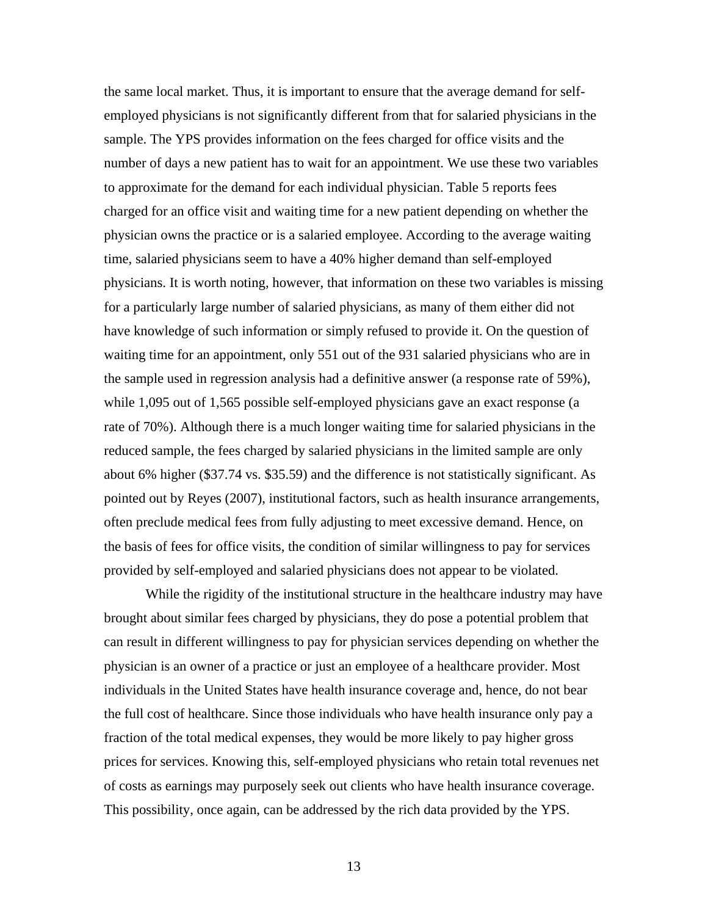the same local market. Thus, it is important to ensure that the average demand for selfemployed physicians is not significantly different from that for salaried physicians in the sample. The YPS provides information on the fees charged for office visits and the number of days a new patient has to wait for an appointment. We use these two variables to approximate for the demand for each individual physician. Table 5 reports fees charged for an office visit and waiting time for a new patient depending on whether the physician owns the practice or is a salaried employee. According to the average waiting time, salaried physicians seem to have a 40% higher demand than self-employed physicians. It is worth noting, however, that information on these two variables is missing for a particularly large number of salaried physicians, as many of them either did not have knowledge of such information or simply refused to provide it. On the question of waiting time for an appointment, only 551 out of the 931 salaried physicians who are in the sample used in regression analysis had a definitive answer (a response rate of 59%), while 1,095 out of 1,565 possible self-employed physicians gave an exact response (a rate of 70%). Although there is a much longer waiting time for salaried physicians in the reduced sample, the fees charged by salaried physicians in the limited sample are only about 6% higher (\$37.74 vs. \$35.59) and the difference is not statistically significant. As pointed out by Reyes (2007), institutional factors, such as health insurance arrangements, often preclude medical fees from fully adjusting to meet excessive demand. Hence, on the basis of fees for office visits, the condition of similar willingness to pay for services provided by self-employed and salaried physicians does not appear to be violated.

 While the rigidity of the institutional structure in the healthcare industry may have brought about similar fees charged by physicians, they do pose a potential problem that can result in different willingness to pay for physician services depending on whether the physician is an owner of a practice or just an employee of a healthcare provider. Most individuals in the United States have health insurance coverage and, hence, do not bear the full cost of healthcare. Since those individuals who have health insurance only pay a fraction of the total medical expenses, they would be more likely to pay higher gross prices for services. Knowing this, self-employed physicians who retain total revenues net of costs as earnings may purposely seek out clients who have health insurance coverage. This possibility, once again, can be addressed by the rich data provided by the YPS.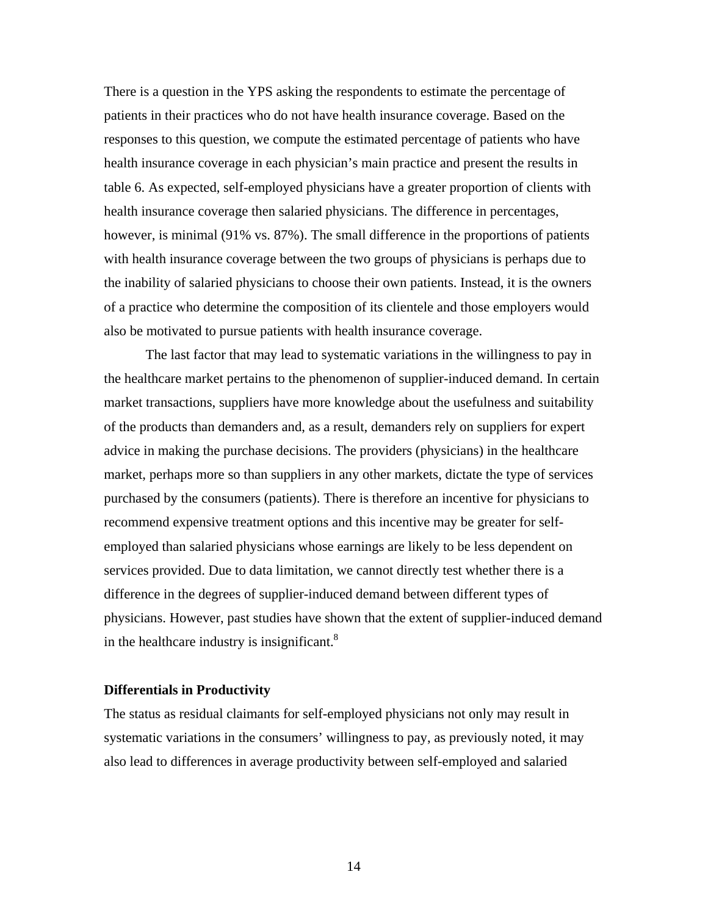There is a question in the YPS asking the respondents to estimate the percentage of patients in their practices who do not have health insurance coverage. Based on the responses to this question, we compute the estimated percentage of patients who have health insurance coverage in each physician's main practice and present the results in table 6. As expected, self-employed physicians have a greater proportion of clients with health insurance coverage then salaried physicians. The difference in percentages, however, is minimal (91% vs. 87%). The small difference in the proportions of patients with health insurance coverage between the two groups of physicians is perhaps due to the inability of salaried physicians to choose their own patients. Instead, it is the owners of a practice who determine the composition of its clientele and those employers would also be motivated to pursue patients with health insurance coverage.

 The last factor that may lead to systematic variations in the willingness to pay in the healthcare market pertains to the phenomenon of supplier-induced demand. In certain market transactions, suppliers have more knowledge about the usefulness and suitability of the products than demanders and, as a result, demanders rely on suppliers for expert advice in making the purchase decisions. The providers (physicians) in the healthcare market, perhaps more so than suppliers in any other markets, dictate the type of services purchased by the consumers (patients). There is therefore an incentive for physicians to recommend expensive treatment options and this incentive may be greater for selfemployed than salaried physicians whose earnings are likely to be less dependent on services provided. Due to data limitation, we cannot directly test whether there is a difference in the degrees of supplier-induced demand between different types of physicians. However, past studies have shown that the extent of supplier-induced demand in the healthcare industry is insignificant. $8$ 

#### **Differentials in Productivity**

The status as residual claimants for self-employed physicians not only may result in systematic variations in the consumers' willingness to pay, as previously noted, it may also lead to differences in average productivity between self-employed and salaried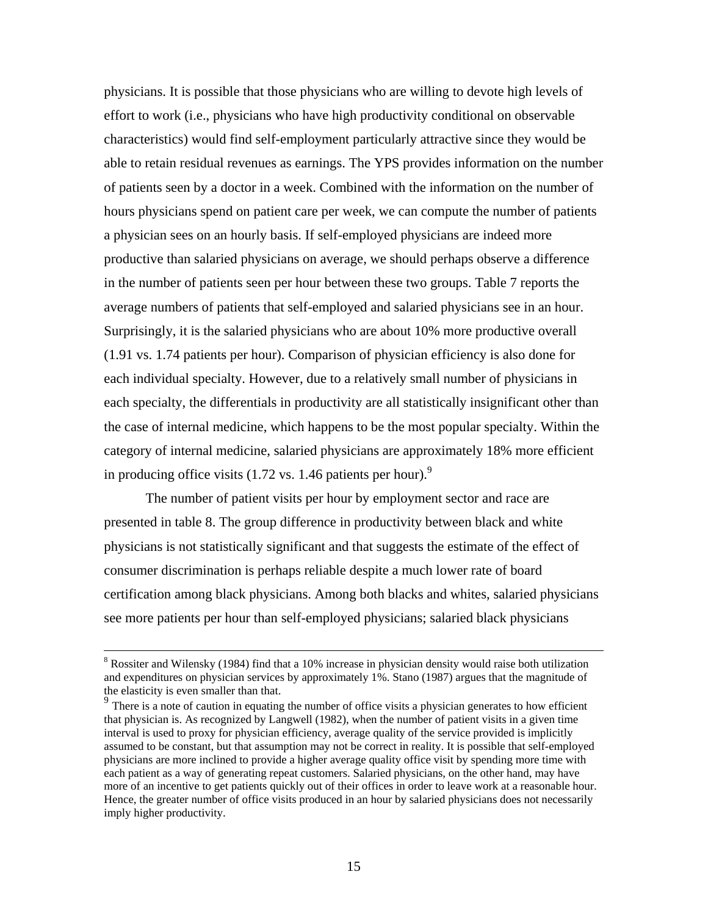physicians. It is possible that those physicians who are willing to devote high levels of effort to work (i.e., physicians who have high productivity conditional on observable characteristics) would find self-employment particularly attractive since they would be able to retain residual revenues as earnings. The YPS provides information on the number of patients seen by a doctor in a week. Combined with the information on the number of hours physicians spend on patient care per week, we can compute the number of patients a physician sees on an hourly basis. If self-employed physicians are indeed more productive than salaried physicians on average, we should perhaps observe a difference in the number of patients seen per hour between these two groups. Table 7 reports the average numbers of patients that self-employed and salaried physicians see in an hour. Surprisingly, it is the salaried physicians who are about 10% more productive overall (1.91 vs. 1.74 patients per hour). Comparison of physician efficiency is also done for each individual specialty. However, due to a relatively small number of physicians in each specialty, the differentials in productivity are all statistically insignificant other than the case of internal medicine, which happens to be the most popular specialty. Within the category of internal medicine, salaried physicians are approximately 18% more efficient in producing office visits (1.72 vs. 1.46 patients per hour).<sup>9</sup>

 The number of patient visits per hour by employment sector and race are presented in table 8. The group difference in productivity between black and white physicians is not statistically significant and that suggests the estimate of the effect of consumer discrimination is perhaps reliable despite a much lower rate of board certification among black physicians. Among both blacks and whites, salaried physicians see more patients per hour than self-employed physicians; salaried black physicians

 <sup>8</sup>  $8$  Rossiter and Wilensky (1984) find that a 10% increase in physician density would raise both utilization and expenditures on physician services by approximately 1%. Stano (1987) argues that the magnitude of the elasticity is even smaller than that.

 $9<sup>9</sup>$  There is a note of caution in equating the number of office visits a physician generates to how efficient that physician is. As recognized by Langwell (1982), when the number of patient visits in a given time interval is used to proxy for physician efficiency, average quality of the service provided is implicitly assumed to be constant, but that assumption may not be correct in reality. It is possible that self-employed physicians are more inclined to provide a higher average quality office visit by spending more time with each patient as a way of generating repeat customers. Salaried physicians, on the other hand, may have more of an incentive to get patients quickly out of their offices in order to leave work at a reasonable hour. Hence, the greater number of office visits produced in an hour by salaried physicians does not necessarily imply higher productivity.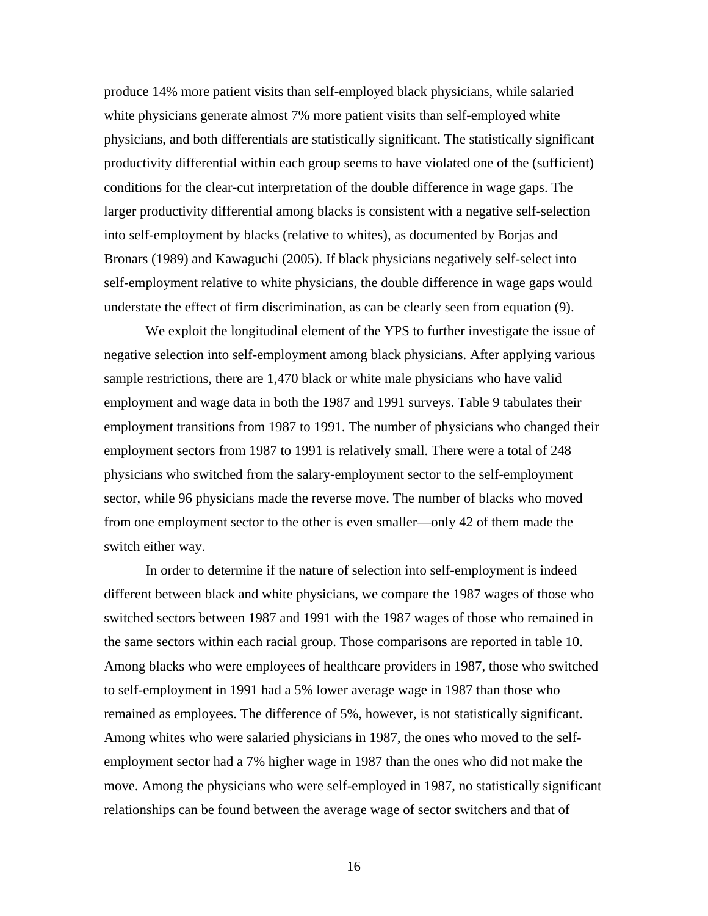produce 14% more patient visits than self-employed black physicians, while salaried white physicians generate almost 7% more patient visits than self-employed white physicians, and both differentials are statistically significant. The statistically significant productivity differential within each group seems to have violated one of the (sufficient) conditions for the clear-cut interpretation of the double difference in wage gaps. The larger productivity differential among blacks is consistent with a negative self-selection into self-employment by blacks (relative to whites), as documented by Borjas and Bronars (1989) and Kawaguchi (2005). If black physicians negatively self-select into self-employment relative to white physicians, the double difference in wage gaps would understate the effect of firm discrimination, as can be clearly seen from equation (9).

 We exploit the longitudinal element of the YPS to further investigate the issue of negative selection into self-employment among black physicians. After applying various sample restrictions, there are 1,470 black or white male physicians who have valid employment and wage data in both the 1987 and 1991 surveys. Table 9 tabulates their employment transitions from 1987 to 1991. The number of physicians who changed their employment sectors from 1987 to 1991 is relatively small. There were a total of 248 physicians who switched from the salary-employment sector to the self-employment sector, while 96 physicians made the reverse move. The number of blacks who moved from one employment sector to the other is even smaller—only 42 of them made the switch either way.

 In order to determine if the nature of selection into self-employment is indeed different between black and white physicians, we compare the 1987 wages of those who switched sectors between 1987 and 1991 with the 1987 wages of those who remained in the same sectors within each racial group. Those comparisons are reported in table 10. Among blacks who were employees of healthcare providers in 1987, those who switched to self-employment in 1991 had a 5% lower average wage in 1987 than those who remained as employees. The difference of 5%, however, is not statistically significant. Among whites who were salaried physicians in 1987, the ones who moved to the selfemployment sector had a 7% higher wage in 1987 than the ones who did not make the move. Among the physicians who were self-employed in 1987, no statistically significant relationships can be found between the average wage of sector switchers and that of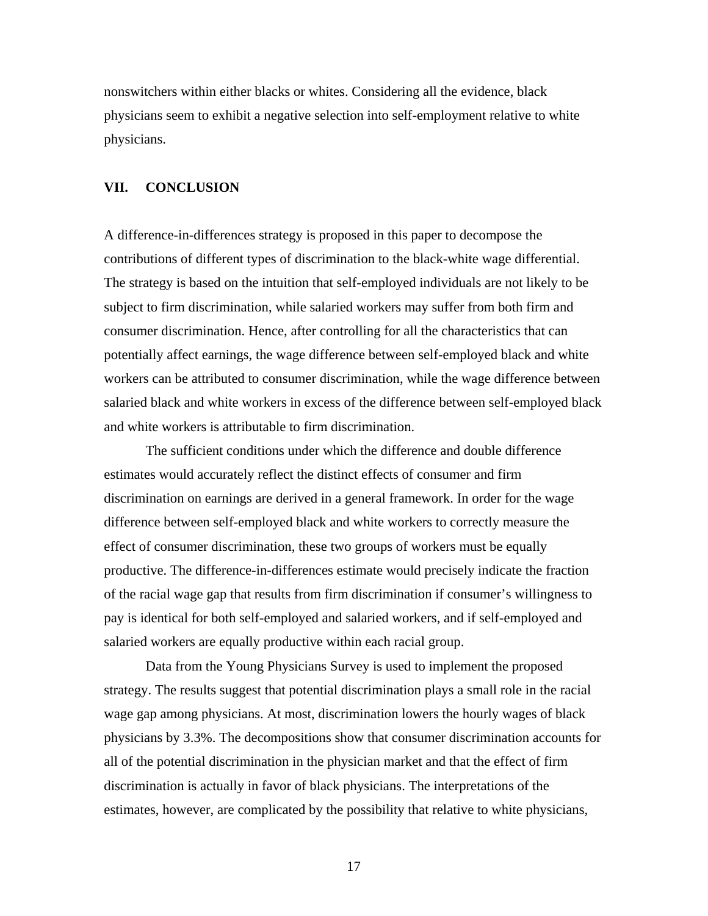nonswitchers within either blacks or whites. Considering all the evidence, black physicians seem to exhibit a negative selection into self-employment relative to white physicians.

### **VII. CONCLUSION**

A difference-in-differences strategy is proposed in this paper to decompose the contributions of different types of discrimination to the black-white wage differential. The strategy is based on the intuition that self-employed individuals are not likely to be subject to firm discrimination, while salaried workers may suffer from both firm and consumer discrimination. Hence, after controlling for all the characteristics that can potentially affect earnings, the wage difference between self-employed black and white workers can be attributed to consumer discrimination, while the wage difference between salaried black and white workers in excess of the difference between self-employed black and white workers is attributable to firm discrimination.

The sufficient conditions under which the difference and double difference estimates would accurately reflect the distinct effects of consumer and firm discrimination on earnings are derived in a general framework. In order for the wage difference between self-employed black and white workers to correctly measure the effect of consumer discrimination, these two groups of workers must be equally productive. The difference-in-differences estimate would precisely indicate the fraction of the racial wage gap that results from firm discrimination if consumer's willingness to pay is identical for both self-employed and salaried workers, and if self-employed and salaried workers are equally productive within each racial group.

Data from the Young Physicians Survey is used to implement the proposed strategy. The results suggest that potential discrimination plays a small role in the racial wage gap among physicians. At most, discrimination lowers the hourly wages of black physicians by 3.3%. The decompositions show that consumer discrimination accounts for all of the potential discrimination in the physician market and that the effect of firm discrimination is actually in favor of black physicians. The interpretations of the estimates, however, are complicated by the possibility that relative to white physicians,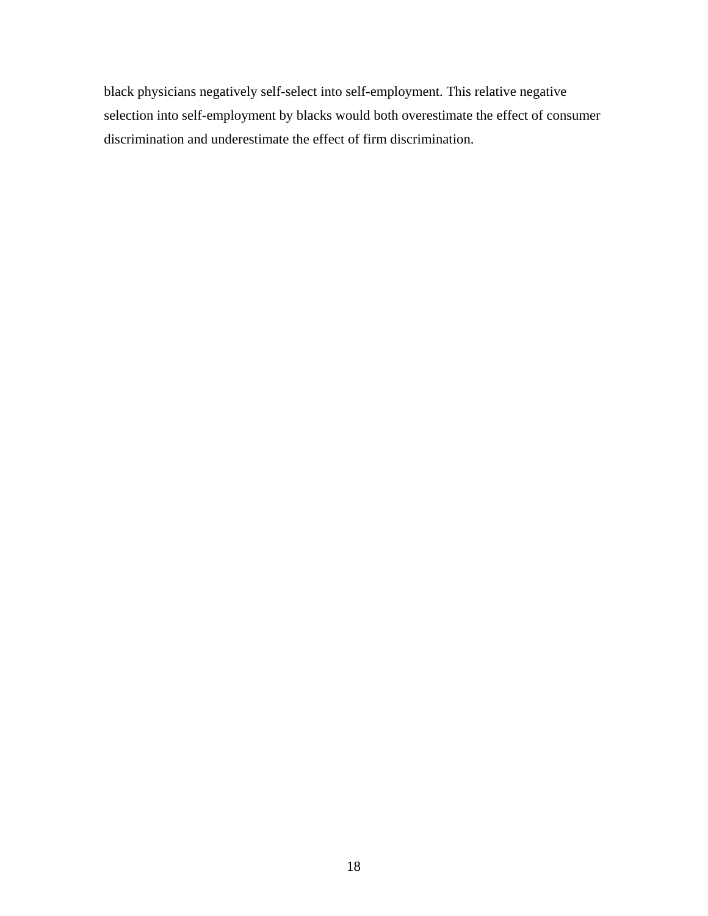black physicians negatively self-select into self-employment. This relative negative selection into self-employment by blacks would both overestimate the effect of consumer discrimination and underestimate the effect of firm discrimination.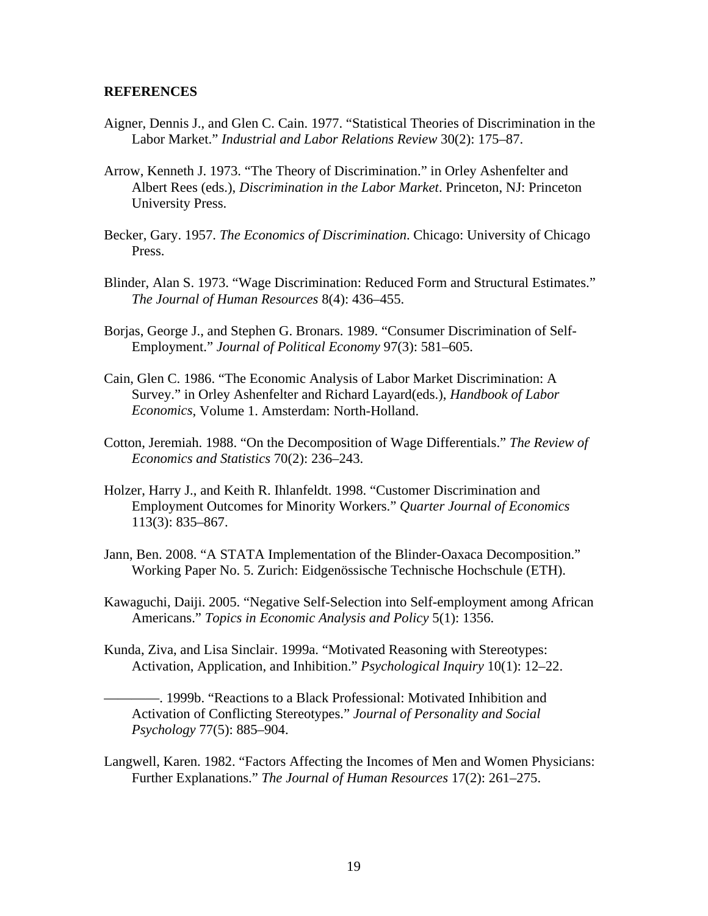#### **REFERENCES**

- Aigner, Dennis J., and Glen C. Cain. 1977. "Statistical Theories of Discrimination in the Labor Market." *Industrial and Labor Relations Review* 30(2): 175–87.
- Arrow, Kenneth J. 1973. "The Theory of Discrimination." in Orley Ashenfelter and Albert Rees (eds.), *Discrimination in the Labor Market*. Princeton, NJ: Princeton University Press.
- Becker, Gary. 1957. *The Economics of Discrimination*. Chicago: University of Chicago Press.
- Blinder, Alan S. 1973. "Wage Discrimination: Reduced Form and Structural Estimates." *The Journal of Human Resources* 8(4): 436–455.
- Borjas, George J., and Stephen G. Bronars. 1989. "Consumer Discrimination of Self-Employment." *Journal of Political Economy* 97(3): 581–605.
- Cain, Glen C. 1986. "The Economic Analysis of Labor Market Discrimination: A Survey." in Orley Ashenfelter and Richard Layard(eds.), *Handbook of Labor Economics*, Volume 1. Amsterdam: North-Holland.
- Cotton, Jeremiah. 1988. "On the Decomposition of Wage Differentials." *The Review of Economics and Statistics* 70(2): 236–243.
- Holzer, Harry J., and Keith R. Ihlanfeldt. 1998. "Customer Discrimination and Employment Outcomes for Minority Workers." *Quarter Journal of Economics* 113(3): 835–867.
- Jann, Ben. 2008. "A STATA Implementation of the Blinder-Oaxaca Decomposition." Working Paper No. 5. Zurich: Eidgenössische Technische Hochschule (ETH).
- Kawaguchi, Daiji. 2005. "Negative Self-Selection into Self-employment among African Americans." *Topics in Economic Analysis and Policy* 5(1): 1356.
- Kunda, Ziva, and Lisa Sinclair. 1999a. "Motivated Reasoning with Stereotypes: Activation, Application, and Inhibition." *Psychological Inquiry* 10(1): 12–22.

————. 1999b. "Reactions to a Black Professional: Motivated Inhibition and Activation of Conflicting Stereotypes." *Journal of Personality and Social Psychology* 77(5): 885–904.

Langwell, Karen. 1982. "Factors Affecting the Incomes of Men and Women Physicians: Further Explanations." *The Journal of Human Resources* 17(2): 261–275.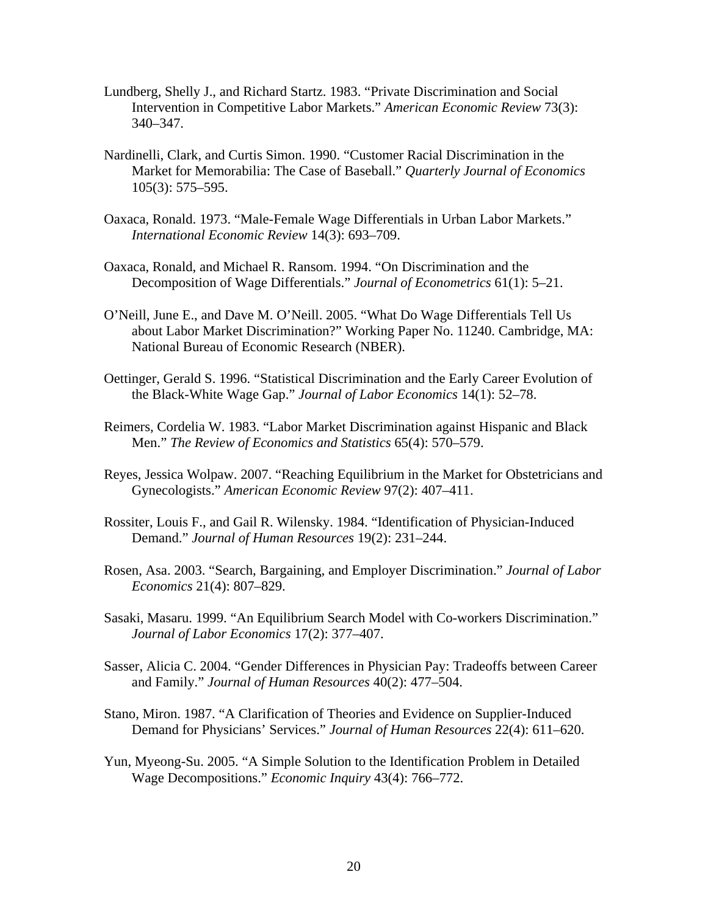- Lundberg, Shelly J., and Richard Startz. 1983. "Private Discrimination and Social Intervention in Competitive Labor Markets." *American Economic Review* 73(3): 340–347.
- Nardinelli, Clark, and Curtis Simon. 1990. "Customer Racial Discrimination in the Market for Memorabilia: The Case of Baseball." *Quarterly Journal of Economics* 105(3): 575–595.
- Oaxaca, Ronald. 1973. "Male-Female Wage Differentials in Urban Labor Markets." *International Economic Review* 14(3): 693–709.
- Oaxaca, Ronald, and Michael R. Ransom. 1994. "On Discrimination and the Decomposition of Wage Differentials." *Journal of Econometrics* 61(1): 5–21.
- O'Neill, June E., and Dave M. O'Neill. 2005. "What Do Wage Differentials Tell Us about Labor Market Discrimination?" Working Paper No. 11240. Cambridge, MA: National Bureau of Economic Research (NBER).
- Oettinger, Gerald S. 1996. "Statistical Discrimination and the Early Career Evolution of the Black-White Wage Gap." *Journal of Labor Economics* 14(1): 52–78.
- Reimers, Cordelia W. 1983. "Labor Market Discrimination against Hispanic and Black Men." *The Review of Economics and Statistics* 65(4): 570–579.
- Reyes, Jessica Wolpaw. 2007. "Reaching Equilibrium in the Market for Obstetricians and Gynecologists." *American Economic Review* 97(2): 407–411.
- Rossiter, Louis F., and Gail R. Wilensky. 1984. "Identification of Physician-Induced Demand." *Journal of Human Resources* 19(2): 231–244.
- Rosen, Asa. 2003. "Search, Bargaining, and Employer Discrimination." *Journal of Labor Economics* 21(4): 807–829.
- Sasaki, Masaru. 1999. "An Equilibrium Search Model with Co-workers Discrimination."  *Journal of Labor Economics* 17(2): 377–407.
- Sasser, Alicia C. 2004. "Gender Differences in Physician Pay: Tradeoffs between Career and Family." *Journal of Human Resources* 40(2): 477–504.
- Stano, Miron. 1987. "A Clarification of Theories and Evidence on Supplier-Induced Demand for Physicians' Services." *Journal of Human Resources* 22(4): 611–620.
- Yun, Myeong-Su. 2005. "A Simple Solution to the Identification Problem in Detailed Wage Decompositions." *Economic Inquiry* 43(4): 766–772.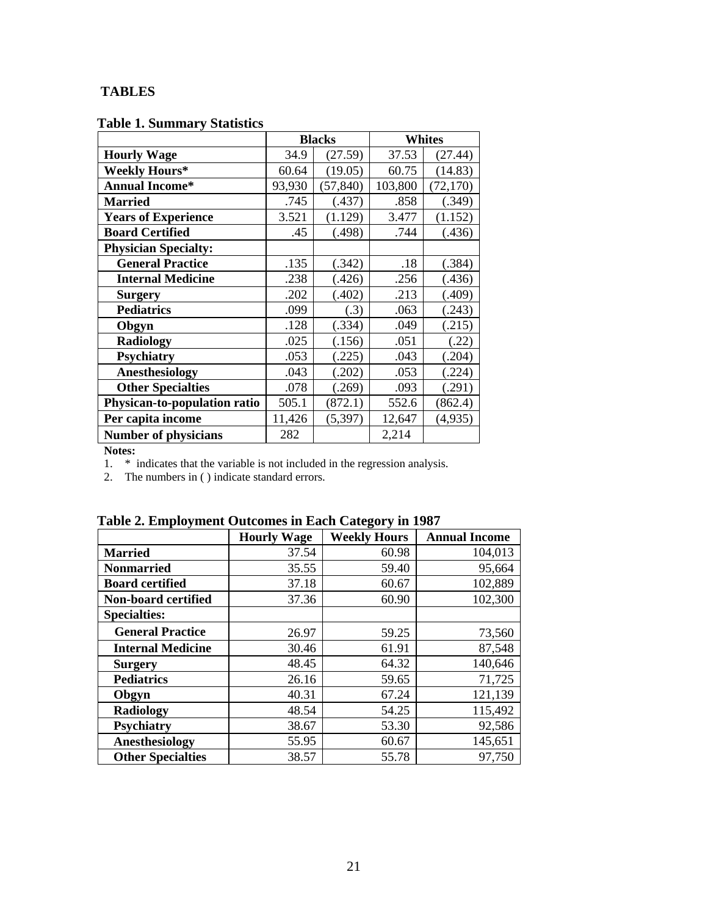# **TABLES**

## **Table 1. Summary Statistics**

|                              |        | <b>Blacks</b> | <b>Whites</b> |           |
|------------------------------|--------|---------------|---------------|-----------|
| <b>Hourly Wage</b>           | 34.9   | (27.59)       | 37.53         | (27.44)   |
| <b>Weekly Hours*</b>         | 60.64  | (19.05)       | 60.75         | (14.83)   |
| <b>Annual Income*</b>        | 93,930 | (57, 840)     | 103,800       | (72, 170) |
| <b>Married</b>               | .745   | (.437)        | .858          | (.349)    |
| <b>Years of Experience</b>   | 3.521  | (1.129)       | 3.477         | (1.152)   |
| <b>Board Certified</b>       | .45    | (.498)        | .744          | (.436)    |
| <b>Physician Specialty:</b>  |        |               |               |           |
| <b>General Practice</b>      | .135   | (.342)        | .18           | (.384)    |
| <b>Internal Medicine</b>     | .238   | (.426)        | .256          | (.436)    |
| <b>Surgery</b>               | .202   | (.402)        | .213          | (.409)    |
| <b>Pediatrics</b>            | .099   | (.3)          | .063          | (.243)    |
| Obgyn                        | .128   | (.334)        | .049          | (.215)    |
| <b>Radiology</b>             | .025   | (.156)        | .051          | (.22)     |
| <b>Psychiatry</b>            | .053   | (.225)        | .043          | (.204)    |
| Anesthesiology               | .043   | (.202)        | .053          | (.224)    |
| <b>Other Specialties</b>     | .078   | (.269)        | .093          | (.291)    |
| Physican-to-population ratio | 505.1  | (872.1)       | 552.6         | (862.4)   |
| Per capita income            | 11,426 | (5,397)       | 12,647        | (4,935)   |
| <b>Number of physicians</b>  | 282    |               | 2,214         |           |

**Notes:** 

1. \* indicates that the variable is not included in the regression analysis.

2. The numbers in ( ) indicate standard errors.

|  |  |  |  |  | Table 2. Employment Outcomes in Each Category in 1987 |
|--|--|--|--|--|-------------------------------------------------------|
|--|--|--|--|--|-------------------------------------------------------|

|                          | <b>Hourly Wage</b> | <b>Weekly Hours</b> | <b>Annual Income</b> |
|--------------------------|--------------------|---------------------|----------------------|
| <b>Married</b>           | 37.54              | 60.98               | 104,013              |
| <b>Nonmarried</b>        | 35.55              | 59.40               | 95,664               |
| <b>Board certified</b>   | 37.18              | 60.67               | 102,889              |
| Non-board certified      | 37.36              | 60.90               | 102,300              |
| <b>Specialties:</b>      |                    |                     |                      |
| <b>General Practice</b>  | 26.97              | 59.25               | 73,560               |
| <b>Internal Medicine</b> | 30.46              | 61.91               | 87,548               |
| <b>Surgery</b>           | 48.45              | 64.32               | 140,646              |
| <b>Pediatrics</b>        | 26.16              | 59.65               | 71,725               |
| Obgyn                    | 40.31              | 67.24               | 121,139              |
| Radiology                | 48.54              | 54.25               | 115,492              |
| <b>Psychiatry</b>        | 38.67              | 53.30               | 92,586               |
| Anesthesiology           | 55.95              | 60.67               | 145,651              |
| <b>Other Specialties</b> | 38.57              | 55.78               | 97,750               |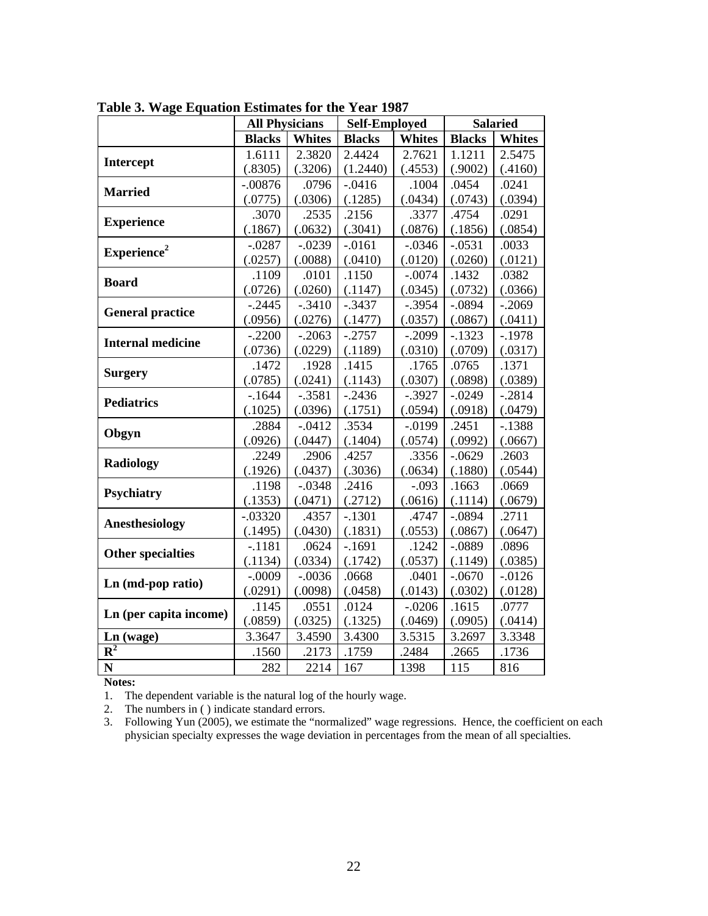|                           | <b>All Physicians</b> |               | <b>Self-Employed</b> |           | <b>Salaried</b> |               |
|---------------------------|-----------------------|---------------|----------------------|-----------|-----------------|---------------|
|                           | <b>Blacks</b>         | <b>Whites</b> | <b>Blacks</b>        | Whites    | <b>Blacks</b>   | <b>Whites</b> |
|                           | 1.6111                | 2.3820        | 2.4424               | 2.7621    | 1.1211          | 2.5475        |
| Intercept                 | (.8305)               | (.3206)       | (1.2440)             | (.4553)   | (.9002)         | (.4160)       |
|                           | $-.00876$             | .0796         | $-.0416$             | .1004     | .0454           | .0241         |
| <b>Married</b>            | (.0775)               | (.0306)       | (.1285)              | (.0434)   | (.0743)         | (.0394)       |
| <b>Experience</b>         | .3070                 | .2535         | .2156                | .3377     | .4754           | .0291         |
|                           | (.1867)               | (.0632)       | (.3041)              | (.0876)   | (.1856)         | (.0854)       |
| Experience <sup>2</sup>   | $-.0287$              | $-.0239$      | $-0.0161$            | $-.0346$  | $-.0531$        | .0033         |
|                           | (.0257)               | (.0088)       | (.0410)              | (.0120)   | (.0260)         | (.0121)       |
| <b>Board</b>              | .1109                 | .0101         | .1150                | $-.0074$  | .1432           | .0382         |
|                           | (.0726)               | (.0260)       | (.1147)              | (.0345)   | (.0732)         | (.0366)       |
| <b>General practice</b>   | $-.2445$              | $-.3410$      | $-.3437$             | $-.3954$  | $-.0894$        | $-.2069$      |
|                           | (.0956)               | (.0276)       | (.1477)              | (.0357)   | (.0867)         | (.0411)       |
| <b>Internal medicine</b>  | $-.2200$              | $-.2063$      | $-.2757$             | $-.2099$  | $-.1323$        | $-.1978$      |
|                           | (.0736)               | (.0229)       | (.1189)              | (.0310)   | (.0709)         | (.0317)       |
|                           | .1472                 | .1928         | .1415                | .1765     | .0765           | .1371         |
| <b>Surgery</b>            | (.0785)               | (.0241)       | (.1143)              | (.0307)   | (.0898)         | (.0389)       |
| <b>Pediatrics</b>         | $-1644$               | $-.3581$      | $-.2436$             | $-.3927$  | $-.0249$        | $-.2814$      |
|                           | (.1025)               | (.0396)       | (.1751)              | (.0594)   | (.0918)         | (.0479)       |
| Obgyn                     | .2884                 | $-.0412$      | .3534                | $-0.0199$ | .2451           | $-.1388$      |
|                           | (.0926)               | (.0447)       | (.1404)              | (.0574)   | (.0992)         | (.0667)       |
| <b>Radiology</b>          | .2249                 | .2906         | .4257                | .3356     | $-.0629$        | .2603         |
|                           | (.1926)               | (.0437)       | (.3036)              | (.0634)   | (.1880)         | (.0544)       |
| <b>Psychiatry</b>         | .1198                 | $-.0348$      | .2416                | $-.093$   | .1663           | .0669         |
|                           | (.1353)               | (.0471)       | (.2712)              | (.0616)   | (.1114)         | (.0679)       |
| <b>Anesthesiology</b>     | $-.03320$             | .4357         | $-.1301$             | .4747     | $-.0894$        | .2711         |
|                           | (.1495)               | (.0430)       | (.1831)              | (.0553)   | (.0867)         | (.0647)       |
| <b>Other specialties</b>  | $-.1181$              | .0624         | $-.1691$             | .1242     | $-.0889$        | .0896         |
|                           | (.1134)               | (.0334)       | (.1742)              | (.0537)   | (.1149)         | (.0385)       |
| Ln (md-pop ratio)         | $-.0009$              | $-.0036$      | .0668                | .0401     | $-.0670$        | $-0.0126$     |
|                           | (.0291)               | (.0098)       | (.0458)              | (.0143)   | (.0302)         | (.0128)       |
| Ln (per capita income)    | .1145                 | .0551         | .0124                | $-.0206$  | .1615           | .0777         |
|                           | (.0859)               | (.0325)       | (.1325)              | (.0469)   | (.0905)         | (.0414)       |
| $Ln$ (wage)               | 3.3647                | 3.4590        | 3.4300               | 3.5315    | 3.2697          | 3.3348        |
| $\overline{\mathbf{R}^2}$ | .1560                 | .2173         | .1759                | .2484     | .2665           | .1736         |
| N                         | 282                   | 2214          | 167                  | 1398      | 115             | 816           |

 **Table 3. Wage Equation Estimates for the Year 1987** 

**Notes:** 

1. The dependent variable is the natural log of the hourly wage.

2. The numbers in ( ) indicate standard errors.

3. Following Yun (2005), we estimate the "normalized" wage regressions. Hence, the coefficient on each physician specialty expresses the wage deviation in percentages from the mean of all specialties.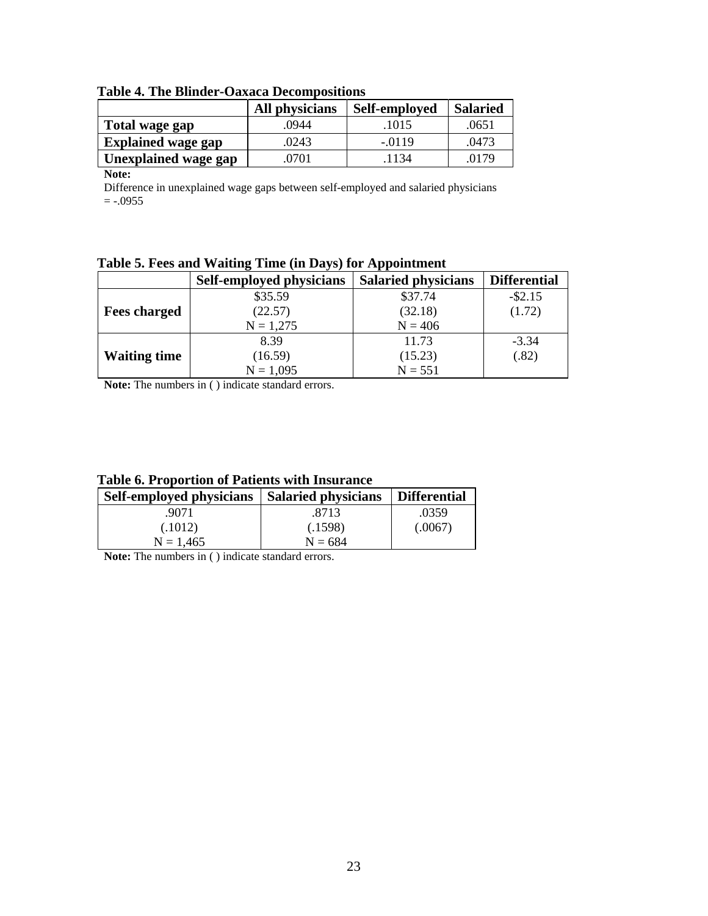|                             | All physicians | Self-employed | <b>Salaried</b> |
|-----------------------------|----------------|---------------|-----------------|
| Total wage gap              | .0944          | .1015         | .0651           |
| <b>Explained wage gap</b>   | .0243          | $-.0119$      | .0473           |
| <b>Unexplained wage gap</b> | .0701          | 1134          | .0179           |

 **Table 4. The Blinder-Oaxaca Decompositions** 

**Note:** 

Difference in unexplained wage gaps between self-employed and salaried physicians  $= -0.0955$ 

|  | Table 5. Fees and Waiting Time (in Days) for Appointment |
|--|----------------------------------------------------------|
|  |                                                          |

|                     | Self-employed physicians | <b>Salaried physicians</b> | <b>Differential</b> |
|---------------------|--------------------------|----------------------------|---------------------|
|                     | \$35.59                  | \$37.74                    | $-$ \$2.15          |
| <b>Fees charged</b> | (22.57)                  | (32.18)                    | (1.72)              |
|                     | $N = 1,275$              | $N = 406$                  |                     |
|                     | 8.39                     | 11.73                      | $-3.34$             |
| <b>Waiting time</b> | (16.59)                  | (15.23)                    | (.82)               |
|                     | $N = 1,095$              | $N = 551$                  |                     |

**Note:** The numbers in ( ) indicate standard errors.

| <b>Table 6. Proportion of Patients with Insurance</b> |  |  |
|-------------------------------------------------------|--|--|
|-------------------------------------------------------|--|--|

| Self-employed physicians | <b>Salaried physicians</b> | <b>Differential</b> |
|--------------------------|----------------------------|---------------------|
| .9071                    | .8713                      | .0359               |
| (.1012)                  | (.1598)                    | (.0067)             |
| $N = 1.465$              | $N = 684$                  |                     |

**Note:** The numbers in ( ) indicate standard errors.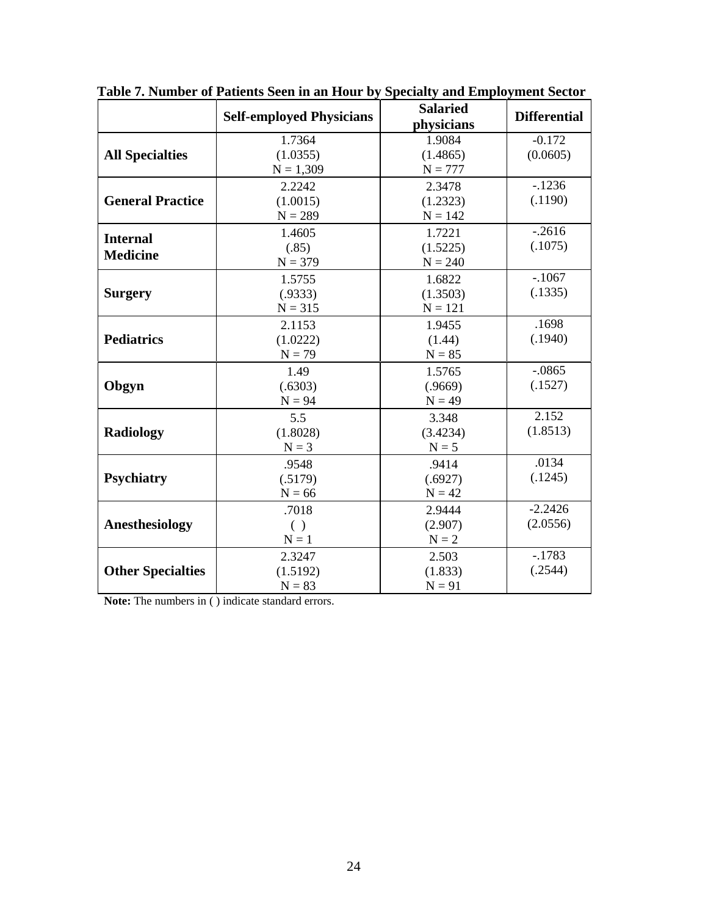|                                    | <b>Self-employed Physicians</b>   | <b>Salaried</b><br>physicians       | <b>Differential</b>   |
|------------------------------------|-----------------------------------|-------------------------------------|-----------------------|
| <b>All Specialties</b>             | 1.7364<br>(1.0355)<br>$N = 1,309$ | 1.9084<br>(1.4865)<br>$N = 777$     | $-0.172$<br>(0.0605)  |
| <b>General Practice</b>            | 2.2242<br>(1.0015)<br>$N = 289$   | 2.3478<br>(1.2323)<br>$N = 142$     | $-1236$<br>(.1190)    |
| <b>Internal</b><br><b>Medicine</b> | 1.4605<br>(.85)<br>$N = 379$      | 1.7221<br>(1.5225)<br>$N = 240$     | $-.2616$<br>(.1075)   |
| <b>Surgery</b>                     | 1.5755<br>(.9333)<br>$N = 315$    | 1.6822<br>(1.3503)<br>$N = 121$     | $-.1067$<br>(.1335)   |
| <b>Pediatrics</b>                  | 2.1153<br>(1.0222)<br>$N = 79$    | 1.9455<br>(1.44)<br>$\mathbf{N}=85$ | .1698<br>(.1940)      |
| Obgyn                              | 1.49<br>(.6303)<br>$N = 94$       | 1.5765<br>(.9669)<br>$N = 49$       | $-.0865$<br>(.1527)   |
| <b>Radiology</b>                   | 5.5<br>(1.8028)<br>$N = 3$        | 3.348<br>(3.4234)<br>$N = 5$        | 2.152<br>(1.8513)     |
| <b>Psychiatry</b>                  | .9548<br>(.5179)<br>$N = 66$      | .9414<br>(.6927)<br>$N = 42$        | .0134<br>(.1245)      |
| Anesthesiology                     | .7018<br>( )<br>${\bf N}=1$       | 2.9444<br>(2.907)<br>${\bf N=2}$    | $-2.2426$<br>(2.0556) |
| <b>Other Specialties</b>           | 2.3247<br>(1.5192)<br>$N = 83$    | 2.503<br>(1.833)<br>$N = 91$        | $-.1783$<br>(.2544)   |

 **Table 7. Number of Patients Seen in an Hour by Specialty and Employment Sector** 

**Note:** The numbers in ( ) indicate standard errors.